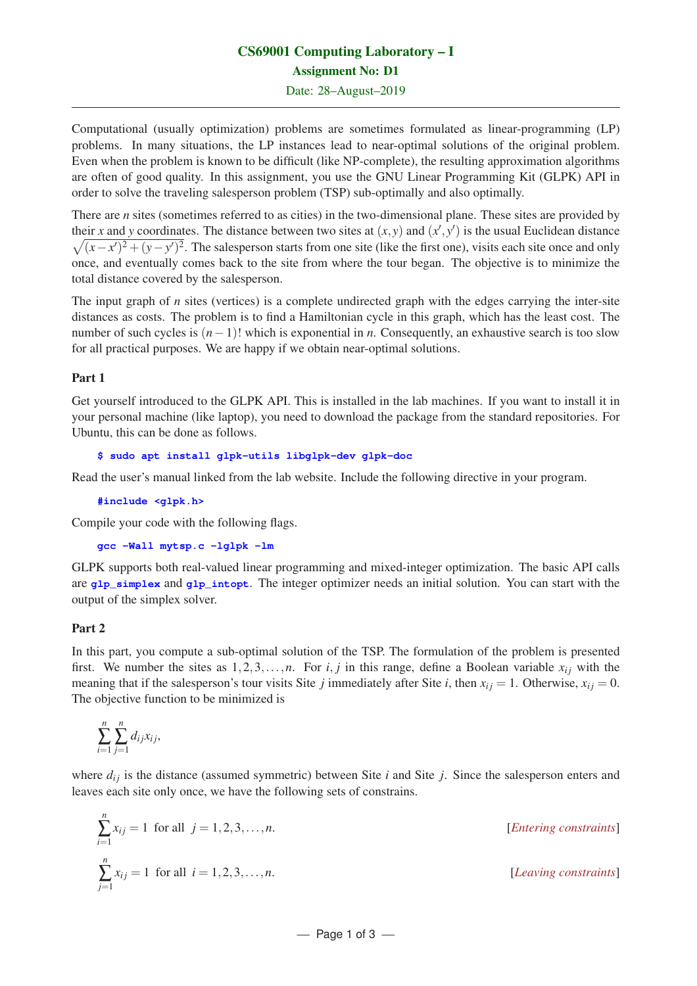# CS69001 Computing Laboratory – I Assignment No: D1

Date: 28–August–2019

Computational (usually optimization) problems are sometimes formulated as linear-programming (LP) problems. In many situations, the LP instances lead to near-optimal solutions of the original problem. Even when the problem is known to be difficult (like NP-complete), the resulting approximation algorithms are often of good quality. In this assignment, you use the GNU Linear Programming Kit (GLPK) API in order to solve the traveling salesperson problem (TSP) sub-optimally and also optimally.

There are *n* sites (sometimes referred to as cities) in the two-dimensional plane. These sites are provided by their *x* and *y* coordinates. The distance between two sites at  $(x, y)$  and  $(x', y')$  is the usual Euclidean distance  $\sqrt{(x-x')^2 + (y-y')^2}$ . The salesperson starts from one site (like the first one), visits each site once and only once, and eventually comes back to the site from where the tour began. The objective is to minimize the total distance covered by the salesperson.

The input graph of *n* sites (vertices) is a complete undirected graph with the edges carrying the inter-site distances as costs. The problem is to find a Hamiltonian cycle in this graph, which has the least cost. The number of such cycles is (*n*−1)! which is exponential in *n*. Consequently, an exhaustive search is too slow for all practical purposes. We are happy if we obtain near-optimal solutions.

## Part 1

Get yourself introduced to the GLPK API. This is installed in the lab machines. If you want to install it in your personal machine (like laptop), you need to download the package from the standard repositories. For Ubuntu, this can be done as follows.

## **\$ sudo apt install glpk-utils libglpk-dev glpk-doc**

Read the user's manual linked from the lab website. Include the following directive in your program.

**#include <glpk.h>**

Compile your code with the following flags.

```
gcc -Wall mytsp.c -lglpk -lm
```
GLPK supports both real-valued linear programming and mixed-integer optimization. The basic API calls are **glp\_simplex** and **glp\_intopt**. The integer optimizer needs an initial solution. You can start with the output of the simplex solver.

## Part 2

In this part, you compute a sub-optimal solution of the TSP. The formulation of the problem is presented first. We number the sites as  $1, 2, 3, \ldots, n$ . For *i*, *j* in this range, define a Boolean variable  $x_{ij}$  with the meaning that if the salesperson's tour visits Site *j* immediately after Site *i*, then  $x_{ij} = 1$ . Otherwise,  $x_{ij} = 0$ . The objective function to be minimized is

$$
\sum_{i=1}^n \sum_{j=1}^n d_{ij}x_{ij},
$$

where  $d_{ij}$  is the distance (assumed symmetric) between Site  $i$  and Site  $j$ . Since the salesperson enters and leaves each site only once, we have the following sets of constrains.

$$
\sum_{i=1}^{n} x_{ij} = 1 \text{ for all } j = 1, 2, 3, ..., n.
$$
\n[*Intering constraints*]\n
$$
\sum_{j=1}^{n} x_{ij} = 1 \text{ for all } i = 1, 2, 3, ..., n.
$$
\n[*Leaving constraints*]\n
$$
\sum_{j=1}^{n} x_{ij} = 1 \text{ for all } i = 1, 2, 3, ..., n.
$$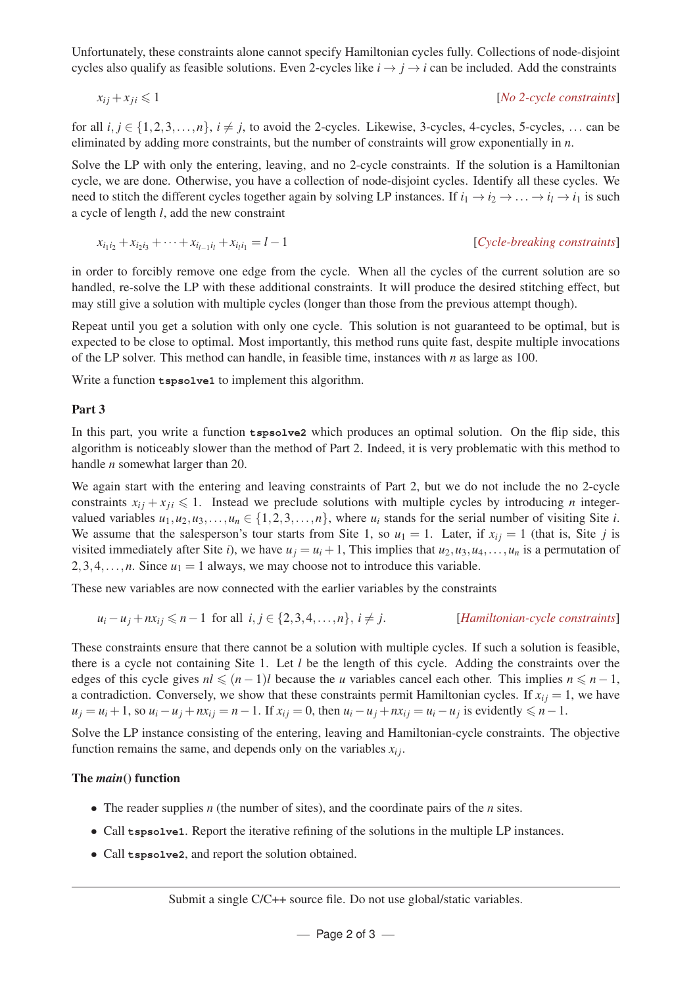Unfortunately, these constraints alone cannot specify Hamiltonian cycles fully. Collections of node-disjoint cycles also qualify as feasible solutions. Even 2-cycles like  $i \rightarrow j \rightarrow i$  can be included. Add the constraints

$$
x_{ij} + x_{ji} \leq 1
$$
 [No 2-cycle constraints]

for all  $i, j \in \{1, 2, 3, \ldots, n\}, i \neq j$ , to avoid the 2-cycles. Likewise, 3-cycles, 4-cycles, 5-cycles, ... can be eliminated by adding more constraints, but the number of constraints will grow exponentially in *n*.

Solve the LP with only the entering, leaving, and no 2-cycle constraints. If the solution is a Hamiltonian cycle, we are done. Otherwise, you have a collection of node-disjoint cycles. Identify all these cycles. We need to stitch the different cycles together again by solving LP instances. If  $i_1 \rightarrow i_2 \rightarrow \ldots \rightarrow i_l \rightarrow i_1$  is such a cycle of length *l*, add the new constraint

$$
x_{i_1i_2} + x_{i_2i_3} + \dots + x_{i_{l-1}i_l} + x_{i_li_1} = l - 1
$$
\n[Cycle-breaking constraints]

in order to forcibly remove one edge from the cycle. When all the cycles of the current solution are so handled, re-solve the LP with these additional constraints. It will produce the desired stitching effect, but may still give a solution with multiple cycles (longer than those from the previous attempt though).

Repeat until you get a solution with only one cycle. This solution is not guaranteed to be optimal, but is expected to be close to optimal. Most importantly, this method runs quite fast, despite multiple invocations of the LP solver. This method can handle, in feasible time, instances with *n* as large as 100.

Write a function **tspsolve1** to implement this algorithm.

#### Part 3

In this part, you write a function **tspsolve2** which produces an optimal solution. On the flip side, this algorithm is noticeably slower than the method of Part 2. Indeed, it is very problematic with this method to handle *n* somewhat larger than 20.

We again start with the entering and leaving constraints of Part 2, but we do not include the no 2-cycle constraints  $x_{ij} + x_{ji} \leq 1$ . Instead we preclude solutions with multiple cycles by introducing *n* integervalued variables  $u_1, u_2, u_3, \ldots, u_n \in \{1, 2, 3, \ldots, n\}$ , where  $u_i$  stands for the serial number of visiting Site *i*. We assume that the salesperson's tour starts from Site 1, so  $u_1 = 1$ . Later, if  $x_{ij} = 1$  (that is, Site *j* is visited immediately after Site *i*), we have  $u_i = u_i + 1$ , This implies that  $u_2, u_3, u_4, \ldots, u_n$  is a permutation of 2,3,4,...,*n*. Since  $u_1 = 1$  always, we may choose not to introduce this variable.

These new variables are now connected with the earlier variables by the constraints

$$
u_i - u_j + nx_{ij} \le n - 1 \text{ for all } i, j \in \{2, 3, 4, \dots, n\}, i \ne j.
$$
 [*Hamiltonian-cycle constraints*]

These constraints ensure that there cannot be a solution with multiple cycles. If such a solution is feasible, there is a cycle not containing Site 1. Let *l* be the length of this cycle. Adding the constraints over the edges of this cycle gives  $nl \leq (n-1)l$  because the *u* variables cancel each other. This implies  $n \leq n-1$ , a contradiction. Conversely, we show that these constraints permit Hamiltonian cycles. If  $x_{ij} = 1$ , we have  $u_j = u_i + 1$ , so  $u_i - u_j + nx_{ij} = n - 1$ . If  $x_{ij} = 0$ , then  $u_i - u_j + nx_{ij} = u_i - u_j$  is evidently  $\le n - 1$ .

Solve the LP instance consisting of the entering, leaving and Hamiltonian-cycle constraints. The objective function remains the same, and depends only on the variables  $x_{ij}$ .

#### The *main*() function

- The reader supplies *n* (the number of sites), and the coordinate pairs of the *n* sites.
- Call **tspsolve1**. Report the iterative refining of the solutions in the multiple LP instances.
- Call **tspsolve2**, and report the solution obtained.